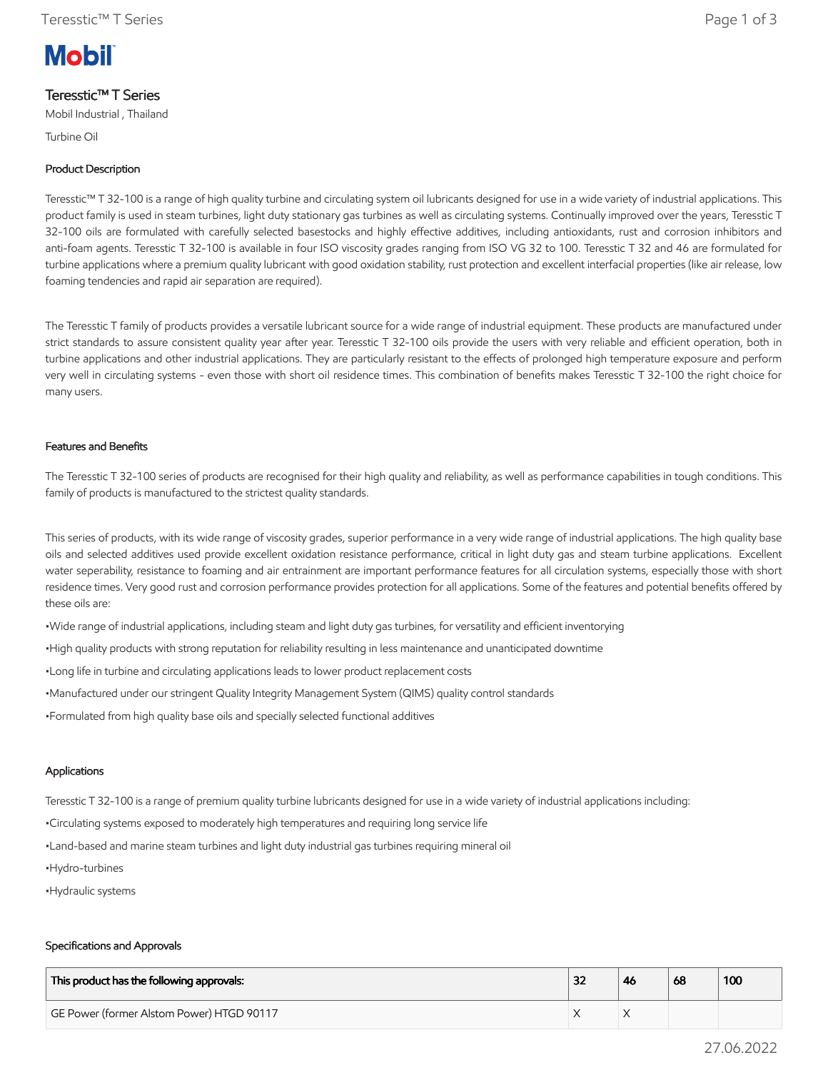# **Mobil**

# Teresstic™ T Series

Mobil Industrial , Thailand

Turbine Oil

## Product Description

Teresstic™ T 32-100 is a range of high quality turbine and circulating system oil lubricants designed for use in a wide variety of industrial applications. This product family is used in steam turbines, light duty stationary gas turbines as well as circulating systems. Continually improved over the years, Teresstic T 32-100 oils are formulated with carefully selected basestocks and highly effective additives, including antioxidants, rust and corrosion inhibitors and anti-foam agents. Teresstic T 32-100 is available in four ISO viscosity grades ranging from ISO VG 32 to 100. Teresstic T 32 and 46 are formulated for turbine applications where a premium quality lubricant with good oxidation stability, rust protection and excellent interfacial properties (like air release, low foaming tendencies and rapid air separation are required).

The Teresstic T family of products provides a versatile lubricant source for a wide range of industrial equipment. These products are manufactured under strict standards to assure consistent quality year after year. Teresstic T 32-100 oils provide the users with very reliable and efficient operation, both in turbine applications and other industrial applications. They are particularly resistant to the effects of prolonged high temperature exposure and perform very well in circulating systems - even those with short oil residence times. This combination of benefits makes Teresstic T 32-100 the right choice for many users.

#### Features and Benefits

The Teresstic T 32-100 series of products are recognised for their high quality and reliability, as well as performance capabilities in tough conditions. This family of products is manufactured to the strictest quality standards.

This series of products, with its wide range of viscosity grades, superior performance in a very wide range of industrial applications. The high quality base oils and selected additives used provide excellent oxidation resistance performance, critical in light duty gas and steam turbine applications. Excellent water seperability, resistance to foaming and air entrainment are important performance features for all circulation systems, especially those with short residence times. Very good rust and corrosion performance provides protection for all applications. Some of the features and potential benefits offered by these oils are:

•Wide range of industrial applications, including steam and light duty gas turbines, for versatility and efficient inventorying

•High quality products with strong reputation for reliability resulting in less maintenance and unanticipated downtime

•Long life in turbine and circulating applications leads to lower product replacement costs

•Manufactured under our stringent Quality Integrity Management System (QIMS) quality control standards

•Formulated from high quality base oils and specially selected functional additives

#### Applications

Teresstic T 32-100 is a range of premium quality turbine lubricants designed for use in a wide variety of industrial applications including:

•Circulating systems exposed to moderately high temperatures and requiring long service life

•Land-based and marine steam turbines and light duty industrial gas turbines requiring mineral oil

- •Hydro-turbines
- •Hydraulic systems

#### Specifications and Approvals

| This product has the following approvals: | רכ<br>34 | -46 | 68 | 100 |
|-------------------------------------------|----------|-----|----|-----|
| GE Power (former Alstom Power) HTGD 90117 |          |     |    |     |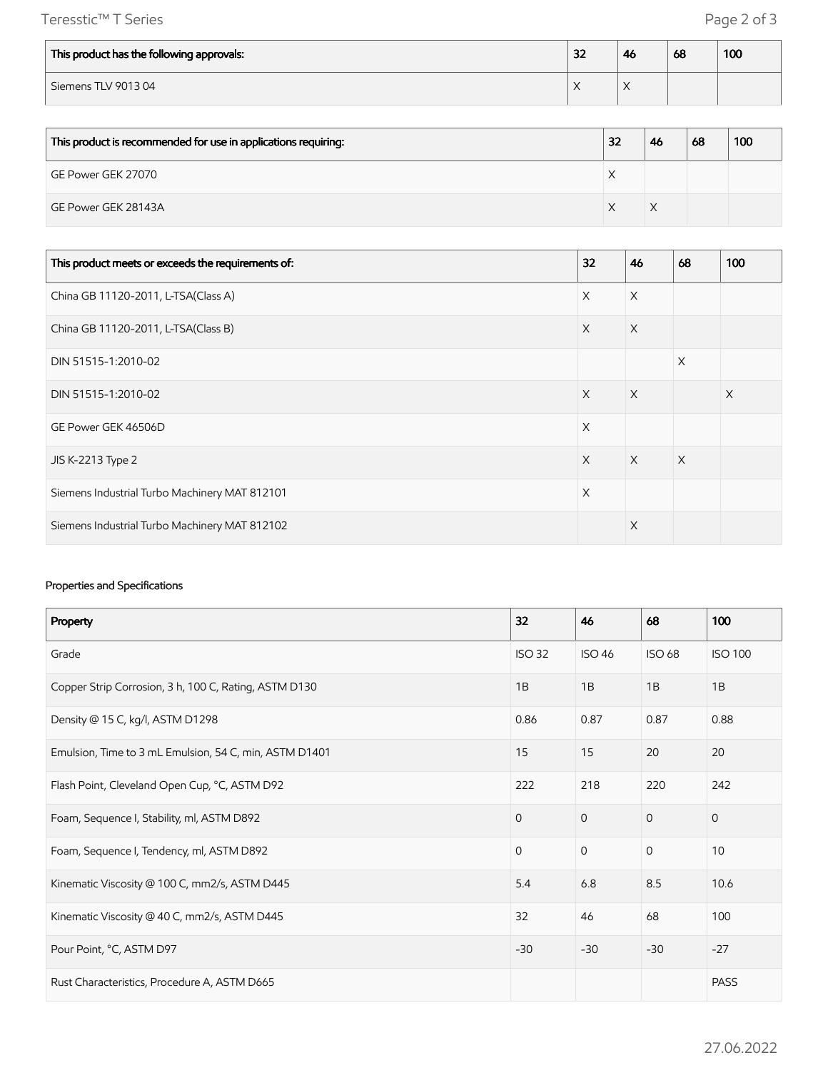Teresstic™ T Series Page 2 of 3

| This product has the following approvals: | 32 | 46        | 68 | 100 |
|-------------------------------------------|----|-----------|----|-----|
| Siemens TLV 901304                        |    | $\lambda$ |    |     |

| This product is recommended for use in applications requiring: | 32 | 46 | 68 | 100 |
|----------------------------------------------------------------|----|----|----|-----|
| GE Power GEK 27070                                             |    |    |    |     |
| GE Power GEK 28143A                                            |    |    |    |     |

| This product meets or exceeds the requirements of: | 32       | 46       | 68       | 100 |
|----------------------------------------------------|----------|----------|----------|-----|
| China GB 11120-2011, L-TSA(Class A)                | $\times$ | $\times$ |          |     |
| China GB 11120-2011, L-TSA(Class B)                | $\times$ | $\times$ |          |     |
| DIN 51515-1:2010-02                                |          |          | $\times$ |     |
| DIN 51515-1:2010-02                                | $\times$ | $\times$ |          | X   |
| GE Power GEK 46506D                                | $\times$ |          |          |     |
| JIS K-2213 Type 2                                  | $\times$ | $\times$ | $\times$ |     |
| Siemens Industrial Turbo Machinery MAT 812101      | X        |          |          |     |
| Siemens Industrial Turbo Machinery MAT 812102      |          | $\times$ |          |     |

## Properties and Specifications

| Property                                               | 32            | 46            | 68            | 100            |
|--------------------------------------------------------|---------------|---------------|---------------|----------------|
| Grade                                                  | <b>ISO 32</b> | <b>ISO 46</b> | <b>ISO 68</b> | <b>ISO 100</b> |
| Copper Strip Corrosion, 3 h, 100 C, Rating, ASTM D130  | 1B            | 1B            | 1B            | 1B             |
| Density @ 15 C, kg/l, ASTM D1298                       | 0.86          | 0.87          | 0.87          | 0.88           |
| Emulsion, Time to 3 mL Emulsion, 54 C, min, ASTM D1401 | 15            | 15            | 20            | 20             |
| Flash Point, Cleveland Open Cup, °C, ASTM D92          | 222           | 218           | 220           | 242            |
| Foam, Sequence I, Stability, ml, ASTM D892             | $\mathbf{0}$  | $\mathbf{O}$  | $\mathbf{0}$  | $\mathbf{0}$   |
| Foam, Sequence I, Tendency, ml, ASTM D892              | $\Omega$      | $\mathbf{0}$  | $\mathbf{0}$  | 10             |
| Kinematic Viscosity @ 100 C, mm2/s, ASTM D445          | 5.4           | 6.8           | 8.5           | 10.6           |
| Kinematic Viscosity @ 40 C, mm2/s, ASTM D445           | 32            | 46            | 68            | 100            |
| Pour Point, °C, ASTM D97                               | $-30$         | $-30$         | $-30$         | $-27$          |
| Rust Characteristics, Procedure A, ASTM D665           |               |               |               | <b>PASS</b>    |